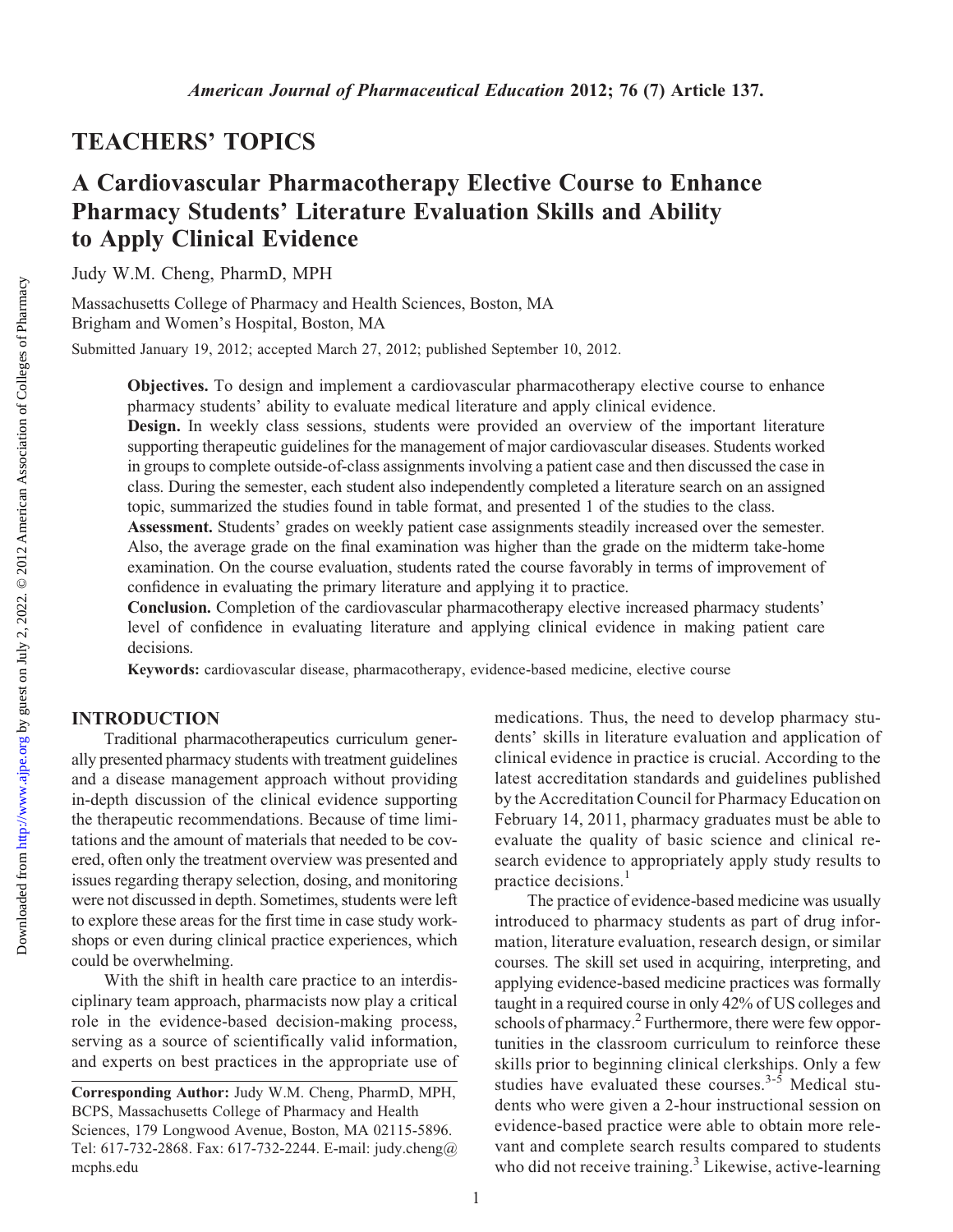## TEACHERS' TOPICS

# A Cardiovascular Pharmacotherapy Elective Course to Enhance Pharmacy Students' Literature Evaluation Skills and Ability to Apply Clinical Evidence

Judy W.M. Cheng, PharmD, MPH

Massachusetts College of Pharmacy and Health Sciences, Boston, MA Brigham and Women's Hospital, Boston, MA

Submitted January 19, 2012; accepted March 27, 2012; published September 10, 2012.

Objectives. To design and implement a cardiovascular pharmacotherapy elective course to enhance pharmacy students' ability to evaluate medical literature and apply clinical evidence.

Design. In weekly class sessions, students were provided an overview of the important literature supporting therapeutic guidelines for the management of major cardiovascular diseases. Students worked in groups to complete outside-of-class assignments involving a patient case and then discussed the case in class. During the semester, each student also independently completed a literature search on an assigned topic, summarized the studies found in table format, and presented 1 of the studies to the class.

Assessment. Students' grades on weekly patient case assignments steadily increased over the semester. Also, the average grade on the final examination was higher than the grade on the midterm take-home examination. On the course evaluation, students rated the course favorably in terms of improvement of confidence in evaluating the primary literature and applying it to practice.

Conclusion. Completion of the cardiovascular pharmacotherapy elective increased pharmacy students' level of confidence in evaluating literature and applying clinical evidence in making patient care decisions.

Keywords: cardiovascular disease, pharmacotherapy, evidence-based medicine, elective course

### INTRODUCTION

Traditional pharmacotherapeutics curriculum generally presented pharmacy students with treatment guidelines and a disease management approach without providing in-depth discussion of the clinical evidence supporting the therapeutic recommendations. Because of time limitations and the amount of materials that needed to be covered, often only the treatment overview was presented and issues regarding therapy selection, dosing, and monitoring were not discussed in depth. Sometimes, students were left to explore these areas for the first time in case study workshops or even during clinical practice experiences, which could be overwhelming.

With the shift in health care practice to an interdisciplinary team approach, pharmacists now play a critical role in the evidence-based decision-making process, serving as a source of scientifically valid information, and experts on best practices in the appropriate use of medications. Thus, the need to develop pharmacy students' skills in literature evaluation and application of clinical evidence in practice is crucial. According to the latest accreditation standards and guidelines published by the Accreditation Council for Pharmacy Education on February 14, 2011, pharmacy graduates must be able to evaluate the quality of basic science and clinical research evidence to appropriately apply study results to practice decisions.<sup>1</sup>

The practice of evidence-based medicine was usually introduced to pharmacy students as part of drug information, literature evaluation, research design, or similar courses. The skill set used in acquiring, interpreting, and applying evidence-based medicine practices was formally taught in a required course in only 42% of US colleges and schools of pharmacy.<sup>2</sup> Furthermore, there were few opportunities in the classroom curriculum to reinforce these skills prior to beginning clinical clerkships. Only a few studies have evaluated these courses.<sup>3-5</sup> Medical students who were given a 2-hour instructional session on evidence-based practice were able to obtain more relevant and complete search results compared to students who did not receive training.<sup>3</sup> Likewise, active-learning

Corresponding Author: Judy W.M. Cheng, PharmD, MPH, BCPS, Massachusetts College of Pharmacy and Health Sciences, 179 Longwood Avenue, Boston, MA 02115-5896. Tel: 617-732-2868. Fax: 617-732-2244. E-mail: judy.cheng@ mcphs.edu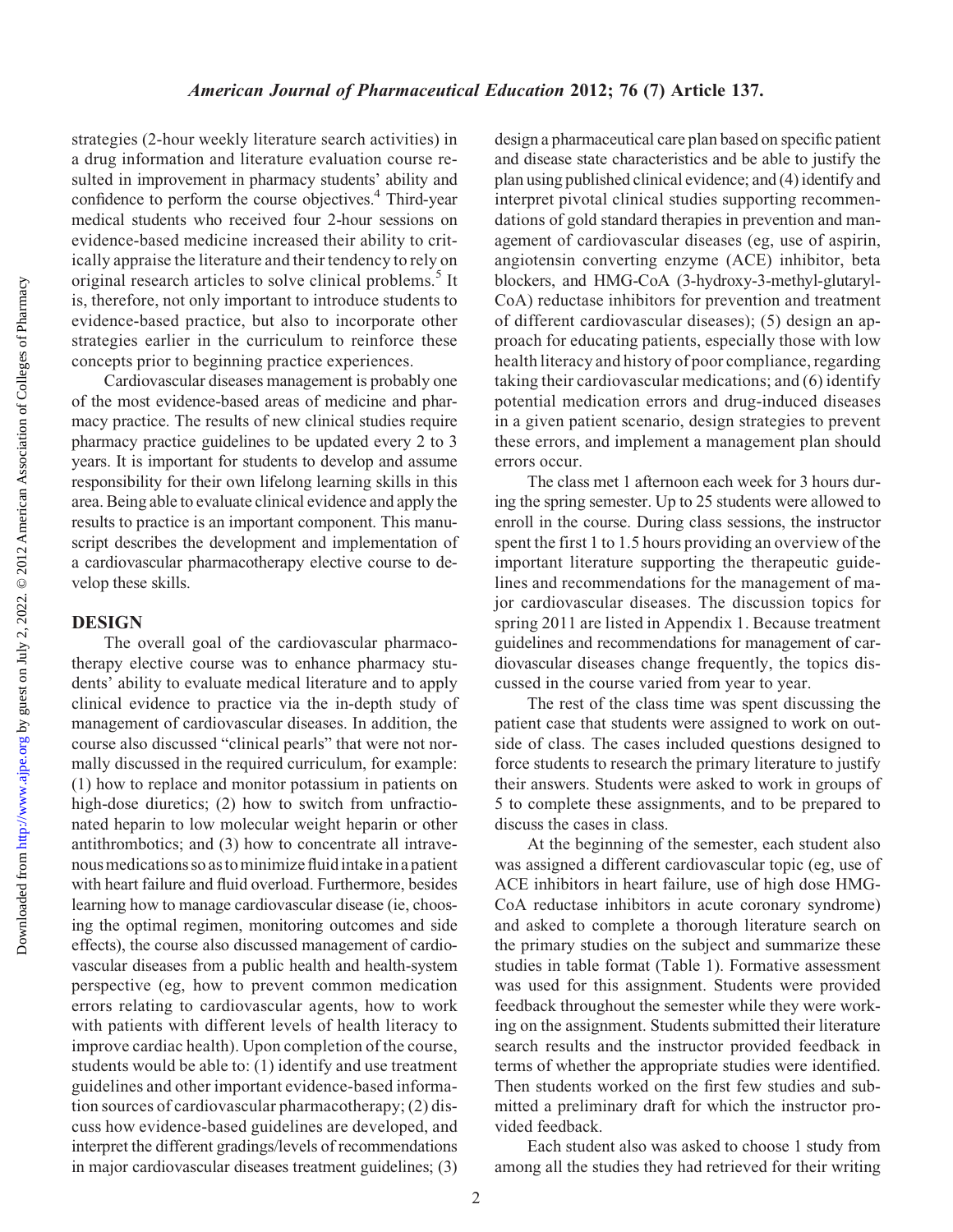<http://www.ajpe.org>

Downloaded from

strategies (2-hour weekly literature search activities) in a drug information and literature evaluation course resulted in improvement in pharmacy students' ability and confidence to perform the course objectives.<sup>4</sup> Third-year medical students who received four 2-hour sessions on evidence-based medicine increased their ability to critically appraise the literature and their tendency to rely on original research articles to solve clinical problems.<sup>5</sup> It is, therefore, not only important to introduce students to evidence-based practice, but also to incorporate other strategies earlier in the curriculum to reinforce these concepts prior to beginning practice experiences.

Cardiovascular diseases management is probably one of the most evidence-based areas of medicine and pharmacy practice. The results of new clinical studies require pharmacy practice guidelines to be updated every 2 to 3 years. It is important for students to develop and assume responsibility for their own lifelong learning skills in this area. Being able to evaluate clinical evidence and apply the results to practice is an important component. This manuscript describes the development and implementation of a cardiovascular pharmacotherapy elective course to develop these skills.

### DESIGN

The overall goal of the cardiovascular pharmacotherapy elective course was to enhance pharmacy students' ability to evaluate medical literature and to apply clinical evidence to practice via the in-depth study of management of cardiovascular diseases. In addition, the course also discussed "clinical pearls" that were not normally discussed in the required curriculum, for example: (1) how to replace and monitor potassium in patients on high-dose diuretics; (2) how to switch from unfractionated heparin to low molecular weight heparin or other antithrombotics; and (3) how to concentrate all intravenous medications so as to minimize fluid intake in a patient with heart failure and fluid overload. Furthermore, besides learning how to manage cardiovascular disease (ie, choosing the optimal regimen, monitoring outcomes and side effects), the course also discussed management of cardiovascular diseases from a public health and health-system perspective (eg, how to prevent common medication errors relating to cardiovascular agents, how to work with patients with different levels of health literacy to improve cardiac health). Upon completion of the course, students would be able to: (1) identify and use treatment guidelines and other important evidence-based information sources of cardiovascular pharmacotherapy; (2) discuss how evidence-based guidelines are developed, and interpret the different gradings/levels of recommendations in major cardiovascular diseases treatment guidelines; (3)

design a pharmaceutical care plan based on specific patient and disease state characteristics and be able to justify the plan using published clinical evidence; and (4) identify and interpret pivotal clinical studies supporting recommendations of gold standard therapies in prevention and management of cardiovascular diseases (eg, use of aspirin, angiotensin converting enzyme (ACE) inhibitor, beta blockers, and HMG-CoA (3-hydroxy-3-methyl-glutaryl-CoA) reductase inhibitors for prevention and treatment of different cardiovascular diseases); (5) design an approach for educating patients, especially those with low health literacy and history of poor compliance, regarding taking their cardiovascular medications; and (6) identify potential medication errors and drug-induced diseases in a given patient scenario, design strategies to prevent these errors, and implement a management plan should errors occur.

The class met 1 afternoon each week for 3 hours during the spring semester. Up to 25 students were allowed to enroll in the course. During class sessions, the instructor spent the first 1 to 1.5 hours providing an overview of the important literature supporting the therapeutic guidelines and recommendations for the management of major cardiovascular diseases. The discussion topics for spring 2011 are listed in Appendix 1. Because treatment guidelines and recommendations for management of cardiovascular diseases change frequently, the topics discussed in the course varied from year to year.

The rest of the class time was spent discussing the patient case that students were assigned to work on outside of class. The cases included questions designed to force students to research the primary literature to justify their answers. Students were asked to work in groups of 5 to complete these assignments, and to be prepared to discuss the cases in class.

At the beginning of the semester, each student also was assigned a different cardiovascular topic (eg, use of ACE inhibitors in heart failure, use of high dose HMG-CoA reductase inhibitors in acute coronary syndrome) and asked to complete a thorough literature search on the primary studies on the subject and summarize these studies in table format (Table 1). Formative assessment was used for this assignment. Students were provided feedback throughout the semester while they were working on the assignment. Students submitted their literature search results and the instructor provided feedback in terms of whether the appropriate studies were identified. Then students worked on the first few studies and submitted a preliminary draft for which the instructor provided feedback.

Each student also was asked to choose 1 study from among all the studies they had retrieved for their writing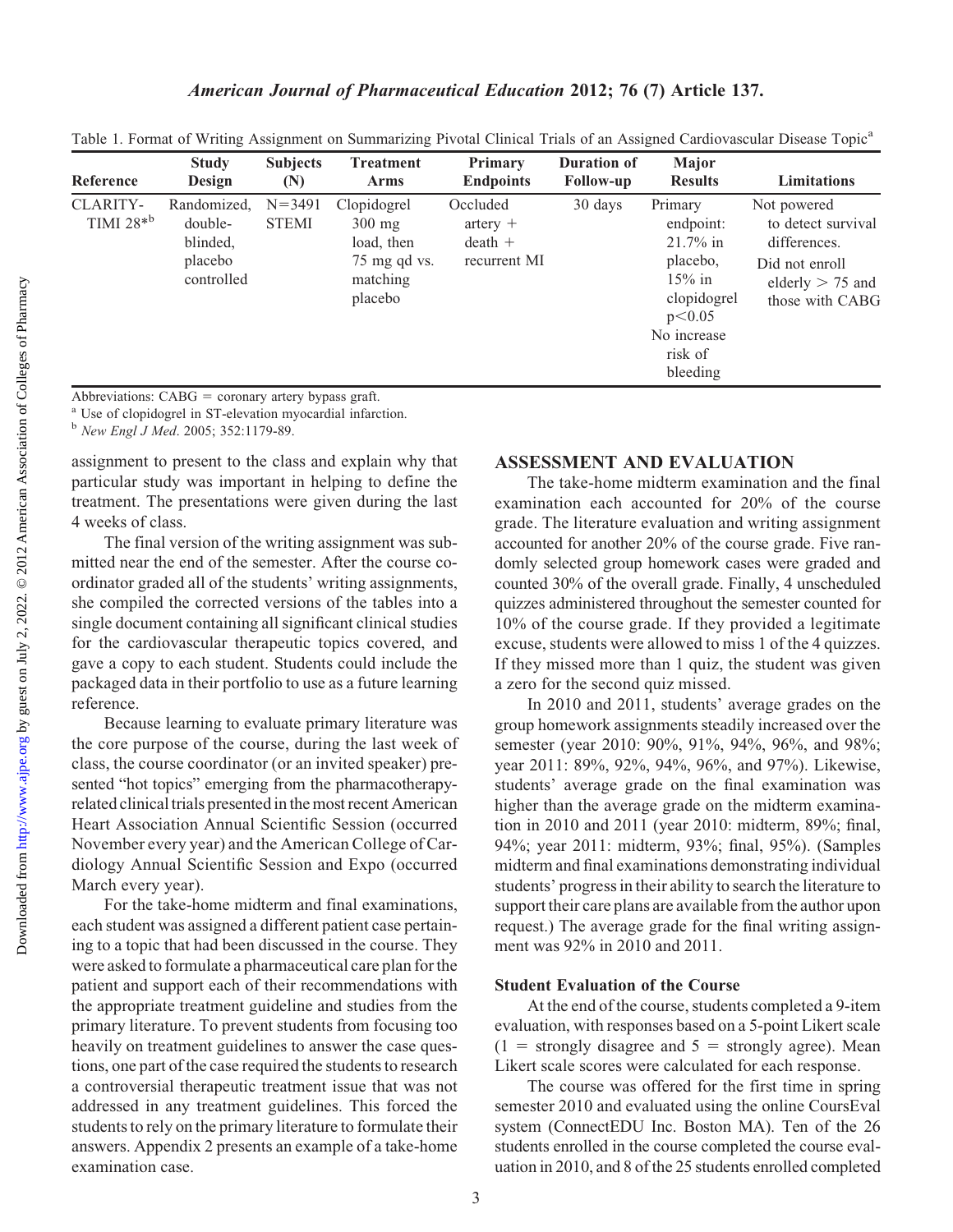Downloaded from

### American Journal of Pharmaceutical Education 2012; 76 (7) Article 137.

| <b>Reference</b>                | <b>Study</b><br>Design                                      | <b>Subjects</b><br>(N)     | <b>Treatment</b><br><b>Arms</b>                                              | Primary<br><b>Endpoints</b>                         | <b>Duration of</b><br><b>Follow-up</b> | Major<br><b>Results</b>                                                                                                     | <b>Limitations</b>                                                                                           |
|---------------------------------|-------------------------------------------------------------|----------------------------|------------------------------------------------------------------------------|-----------------------------------------------------|----------------------------------------|-----------------------------------------------------------------------------------------------------------------------------|--------------------------------------------------------------------------------------------------------------|
| <b>CLARITY-</b><br>TIMI $28*^b$ | Randomized,<br>double-<br>blinded,<br>placebo<br>controlled | $N = 3491$<br><b>STEMI</b> | Clopidogrel<br>$300$ mg<br>load, then<br>75 mg qd vs.<br>matching<br>placebo | Occluded<br>$artery +$<br>$death +$<br>recurrent MI | 30 days                                | Primary<br>endpoint:<br>$21.7\%$ in<br>placebo,<br>$15\%$ in<br>clopidogrel<br>p<0.05<br>No increase<br>risk of<br>bleeding | Not powered<br>to detect survival<br>differences.<br>Did not enroll<br>elderly $> 75$ and<br>those with CABG |

Table 1. Format of Writing Assignment on Summarizing Pivotal Clinical Trials of an Assigned Cardiovascular Disease Topic<sup>a</sup>

Abbreviations: CABG = coronary artery bypass graft.  $a^a$  Use of clopidogrel in ST-elevation myocardial infarction.

<sup>b</sup> New Engl J Med. 2005; 352:1179-89.

assignment to present to the class and explain why that particular study was important in helping to define the treatment. The presentations were given during the last 4 weeks of class.

The final version of the writing assignment was submitted near the end of the semester. After the course coordinator graded all of the students' writing assignments, she compiled the corrected versions of the tables into a single document containing all significant clinical studies for the cardiovascular therapeutic topics covered, and gave a copy to each student. Students could include the packaged data in their portfolio to use as a future learning reference.

Because learning to evaluate primary literature was the core purpose of the course, during the last week of class, the course coordinator (or an invited speaker) presented "hot topics" emerging from the pharmacotherapyrelated clinical trials presented in the most recent American Heart Association Annual Scientific Session (occurred November every year) and the American College of Cardiology Annual Scientific Session and Expo (occurred March every year).

For the take-home midterm and final examinations, each student was assigned a different patient case pertaining to a topic that had been discussed in the course. They were asked to formulate a pharmaceutical care plan for the patient and support each of their recommendations with the appropriate treatment guideline and studies from the primary literature. To prevent students from focusing too heavily on treatment guidelines to answer the case questions, one part of the case required the students to research a controversial therapeutic treatment issue that was not addressed in any treatment guidelines. This forced the students to rely on the primary literature to formulate their answers. Appendix 2 presents an example of a take-home examination case.

### ASSESSMENT AND EVALUATION

The take-home midterm examination and the final examination each accounted for 20% of the course grade. The literature evaluation and writing assignment accounted for another 20% of the course grade. Five randomly selected group homework cases were graded and counted 30% of the overall grade. Finally, 4 unscheduled quizzes administered throughout the semester counted for 10% of the course grade. If they provided a legitimate excuse, students were allowed to miss 1 of the 4 quizzes. If they missed more than 1 quiz, the student was given a zero for the second quiz missed.

In 2010 and 2011, students' average grades on the group homework assignments steadily increased over the semester (year 2010: 90%, 91%, 94%, 96%, and 98%; year 2011: 89%, 92%, 94%, 96%, and 97%). Likewise, students' average grade on the final examination was higher than the average grade on the midterm examination in 2010 and 2011 (year 2010: midterm, 89%; final, 94%; year 2011: midterm, 93%; final, 95%). (Samples midterm and final examinations demonstrating individual students' progress in their ability to search the literature to support their care plans are available from the author upon request.) The average grade for the final writing assignment was 92% in 2010 and 2011.

#### Student Evaluation of the Course

At the end of the course, students completed a 9-item evaluation, with responses based on a 5-point Likert scale  $(1 =$  strongly disagree and  $5 =$  strongly agree). Mean Likert scale scores were calculated for each response.

The course was offered for the first time in spring semester 2010 and evaluated using the online CoursEval system (ConnectEDU Inc. Boston MA). Ten of the 26 students enrolled in the course completed the course evaluation in 2010, and 8 of the 25 students enrolled completed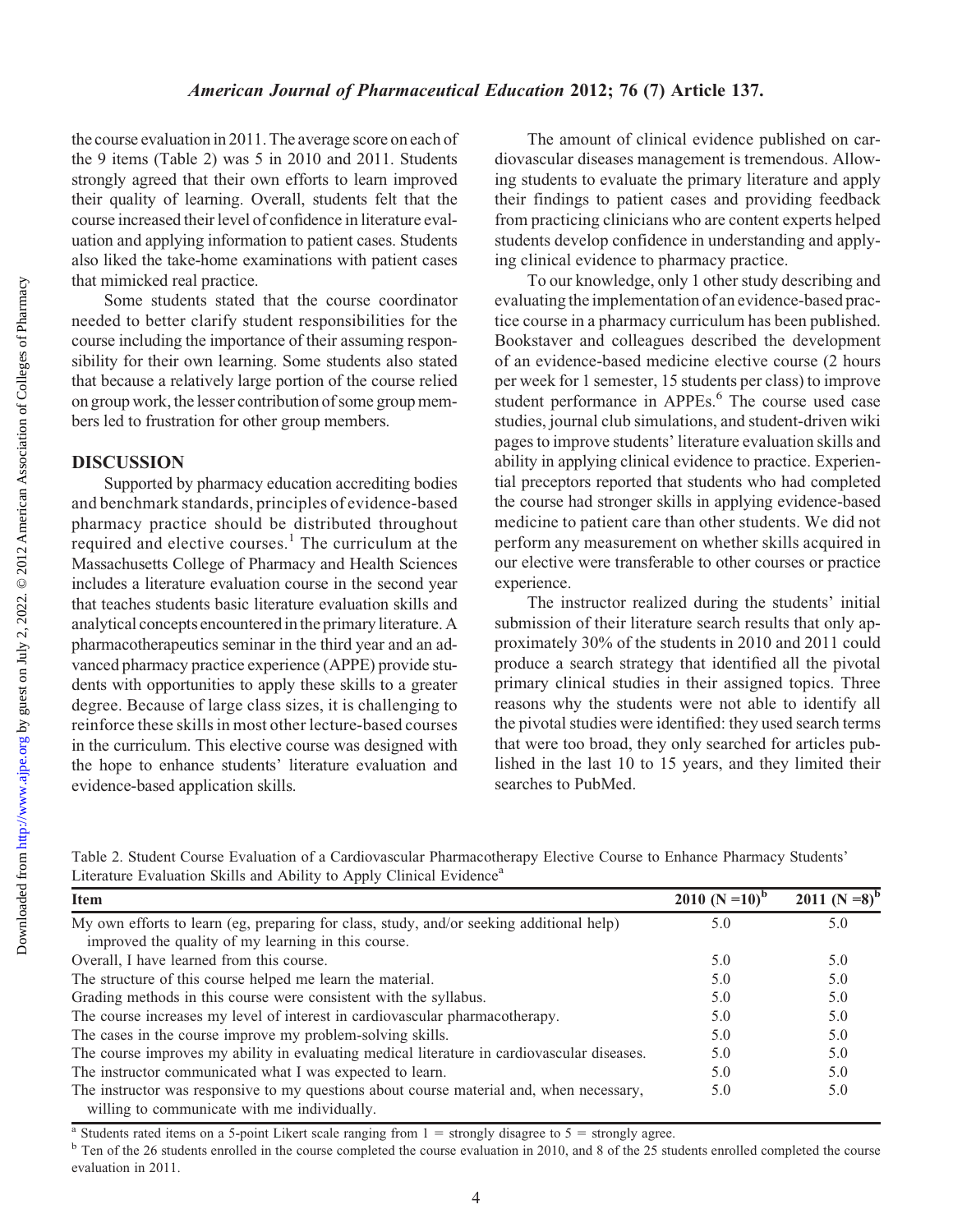Downloaded from

### American Journal of Pharmaceutical Education 2012; 76 (7) Article 137.

the course evaluation in 2011. The average score on each of the 9 items (Table 2) was 5 in 2010 and 2011. Students strongly agreed that their own efforts to learn improved their quality of learning. Overall, students felt that the course increased their level of confidence in literature evaluation and applying information to patient cases. Students also liked the take-home examinations with patient cases that mimicked real practice.

Some students stated that the course coordinator needed to better clarify student responsibilities for the course including the importance of their assuming responsibility for their own learning. Some students also stated that because a relatively large portion of the course relied on group work, the lesser contribution of some group members led to frustration for other group members.

### DISCUSSION

Supported by pharmacy education accrediting bodies and benchmark standards, principles of evidence-based pharmacy practice should be distributed throughout required and elective courses.<sup>1</sup> The curriculum at the Massachusetts College of Pharmacy and Health Sciences includes a literature evaluation course in the second year that teaches students basic literature evaluation skills and analytical concepts encounteredin the primary literature. A pharmacotherapeutics seminar in the third year and an advanced pharmacy practice experience (APPE) provide students with opportunities to apply these skills to a greater degree. Because of large class sizes, it is challenging to reinforce these skills in most other lecture-based courses in the curriculum. This elective course was designed with the hope to enhance students' literature evaluation and evidence-based application skills.

The amount of clinical evidence published on cardiovascular diseases management is tremendous. Allowing students to evaluate the primary literature and apply their findings to patient cases and providing feedback from practicing clinicians who are content experts helped students develop confidence in understanding and applying clinical evidence to pharmacy practice.

To our knowledge, only 1 other study describing and evaluating the implementation of an evidence-based practice course in a pharmacy curriculum has been published. Bookstaver and colleagues described the development of an evidence-based medicine elective course (2 hours per week for 1 semester, 15 students per class) to improve student performance in APPEs.<sup>6</sup> The course used case studies, journal club simulations, and student-driven wiki pages to improve students' literature evaluation skills and ability in applying clinical evidence to practice. Experiential preceptors reported that students who had completed the course had stronger skills in applying evidence-based medicine to patient care than other students. We did not perform any measurement on whether skills acquired in our elective were transferable to other courses or practice experience.

The instructor realized during the students' initial submission of their literature search results that only approximately 30% of the students in 2010 and 2011 could produce a search strategy that identified all the pivotal primary clinical studies in their assigned topics. Three reasons why the students were not able to identify all the pivotal studies were identified: they used search terms that were too broad, they only searched for articles published in the last 10 to 15 years, and they limited their searches to PubMed.

|  |                                                                                  | Table 2. Student Course Evaluation of a Cardiovascular Pharmacotherapy Elective Course to Enhance Pharmacy Students' |  |  |
|--|----------------------------------------------------------------------------------|----------------------------------------------------------------------------------------------------------------------|--|--|
|  | Literature Evaluation Skills and Ability to Apply Clinical Evidence <sup>a</sup> |                                                                                                                      |  |  |

| <b>Item</b>                                                                                 | 2010 (N = 10) <sup>b</sup> | 2011 (N = 8) <sup>b</sup> |
|---------------------------------------------------------------------------------------------|----------------------------|---------------------------|
| My own efforts to learn (eg, preparing for class, study, and/or seeking additional help)    | 5.0                        | 5.0                       |
| improved the quality of my learning in this course.                                         |                            |                           |
| Overall, I have learned from this course.                                                   | 5.0                        | 5.0                       |
| The structure of this course helped me learn the material.                                  | 5.0                        | 5.0                       |
| Grading methods in this course were consistent with the syllabus.                           | 5.0                        | 5.0                       |
| The course increases my level of interest in cardiovascular pharmacotherapy.                | 5.0                        | 5.0                       |
| The cases in the course improve my problem-solving skills.                                  | 5.0                        | 5.0                       |
| The course improves my ability in evaluating medical literature in cardiovascular diseases. | 5.0                        | 5.0                       |
| The instructor communicated what I was expected to learn.                                   | 5.0                        | 5.0                       |
| The instructor was responsive to my questions about course material and, when necessary,    | 5.0                        | 5.0                       |
| willing to communicate with me individually.                                                |                            |                           |

<sup>a</sup> Students rated items on a 5-point Likert scale ranging from  $1 =$  strongly disagree to  $5 =$  strongly agree.<br><sup>b</sup> Ten of the 26 students enrolled in the course completed the course evaluation in 2010, and 8 of the 25 stu evaluation in 2011.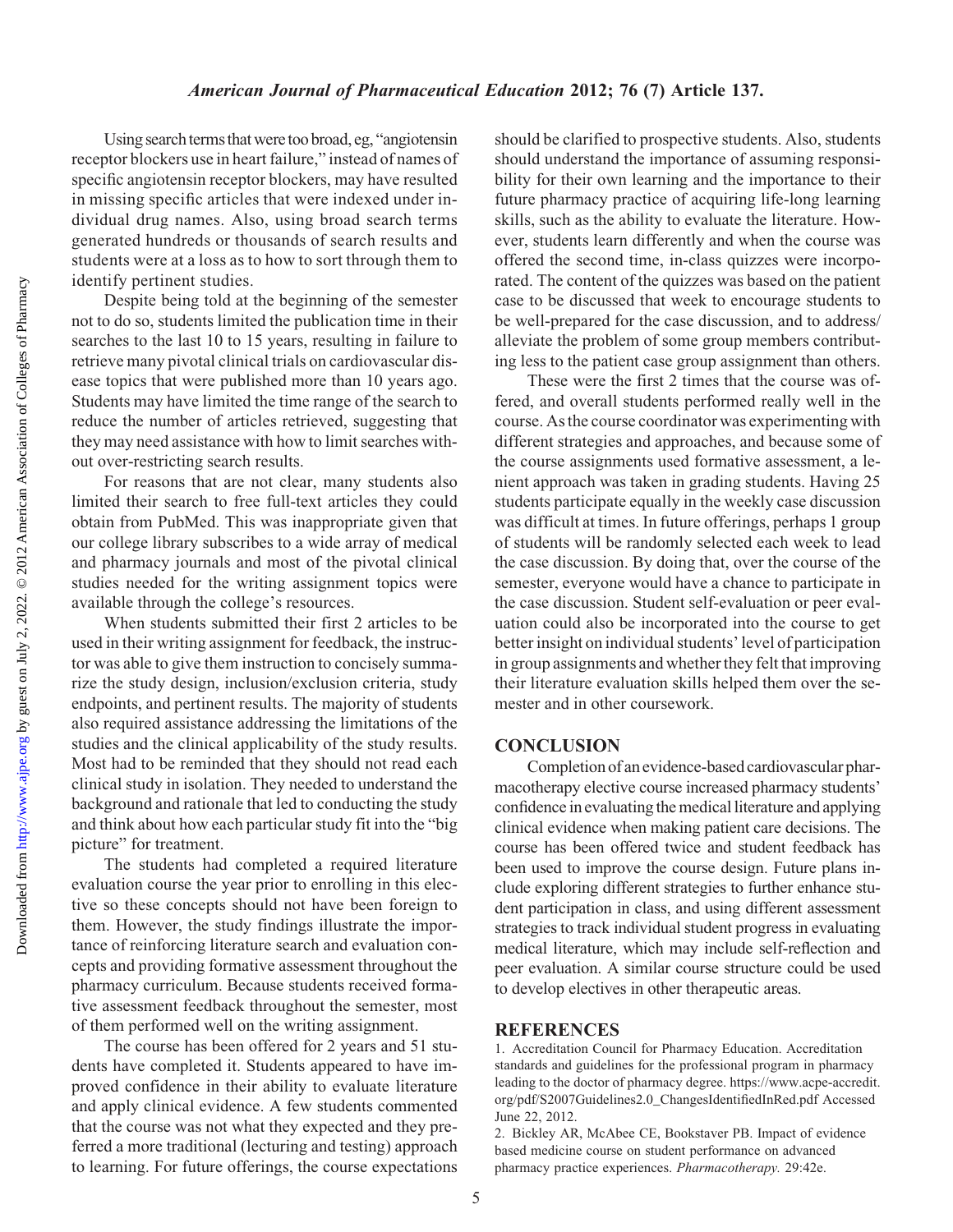#### American Journal of Pharmaceutical Education 2012; 76 (7) Article 137.

Using search terms that were too broad, eg, "angiotensin receptor blockers use in heart failure," instead of names of specific angiotensin receptor blockers, may have resulted in missing specific articles that were indexed under individual drug names. Also, using broad search terms generated hundreds or thousands of search results and students were at a loss as to how to sort through them to identify pertinent studies.

Despite being told at the beginning of the semester not to do so, students limited the publication time in their searches to the last 10 to 15 years, resulting in failure to retrieve many pivotal clinical trials on cardiovascular disease topics that were published more than 10 years ago. Students may have limited the time range of the search to reduce the number of articles retrieved, suggesting that they may need assistance with how to limit searches without over-restricting search results.

For reasons that are not clear, many students also limited their search to free full-text articles they could obtain from PubMed. This was inappropriate given that our college library subscribes to a wide array of medical and pharmacy journals and most of the pivotal clinical studies needed for the writing assignment topics were available through the college's resources.

When students submitted their first 2 articles to be used in their writing assignment for feedback, the instructor was able to give them instruction to concisely summarize the study design, inclusion/exclusion criteria, study endpoints, and pertinent results. The majority of students also required assistance addressing the limitations of the studies and the clinical applicability of the study results. Most had to be reminded that they should not read each clinical study in isolation. They needed to understand the background and rationale that led to conducting the study and think about how each particular study fit into the "big picture" for treatment.

The students had completed a required literature evaluation course the year prior to enrolling in this elective so these concepts should not have been foreign to them. However, the study findings illustrate the importance of reinforcing literature search and evaluation concepts and providing formative assessment throughout the pharmacy curriculum. Because students received formative assessment feedback throughout the semester, most of them performed well on the writing assignment.

The course has been offered for 2 years and 51 students have completed it. Students appeared to have improved confidence in their ability to evaluate literature and apply clinical evidence. A few students commented that the course was not what they expected and they preferred a more traditional (lecturing and testing) approach to learning. For future offerings, the course expectations should be clarified to prospective students. Also, students should understand the importance of assuming responsibility for their own learning and the importance to their future pharmacy practice of acquiring life-long learning skills, such as the ability to evaluate the literature. However, students learn differently and when the course was offered the second time, in-class quizzes were incorporated. The content of the quizzes was based on the patient case to be discussed that week to encourage students to be well-prepared for the case discussion, and to address/ alleviate the problem of some group members contributing less to the patient case group assignment than others.

These were the first 2 times that the course was offered, and overall students performed really well in the course. As the course coordinator was experimenting with different strategies and approaches, and because some of the course assignments used formative assessment, a lenient approach was taken in grading students. Having 25 students participate equally in the weekly case discussion was difficult at times. In future offerings, perhaps 1 group of students will be randomly selected each week to lead the case discussion. By doing that, over the course of the semester, everyone would have a chance to participate in the case discussion. Student self-evaluation or peer evaluation could also be incorporated into the course to get better insight on individual students' level of participation in group assignments and whether they felt that improving their literature evaluation skills helped them over the semester and in other coursework.

#### **CONCLUSION**

Completion of an evidence-based cardiovascular pharmacotherapy elective course increased pharmacy students' confidence in evaluating the medical literature and applying clinical evidence when making patient care decisions. The course has been offered twice and student feedback has been used to improve the course design. Future plans include exploring different strategies to further enhance student participation in class, and using different assessment strategies to track individual student progress in evaluating medical literature, which may include self-reflection and peer evaluation. A similar course structure could be used to develop electives in other therapeutic areas.

#### **REFERENCES**

1. Accreditation Council for Pharmacy Education. Accreditation standards and guidelines for the professional program in pharmacy leading to the doctor of pharmacy degree. https://www.acpe-accredit. org/pdf/S2007Guidelines2.0\_ChangesIdentifiedInRed.pdf Accessed June 22, 2012.

2. Bickley AR, McAbee CE, Bookstaver PB. Impact of evidence based medicine course on student performance on advanced pharmacy practice experiences. Pharmacotherapy. 29:42e.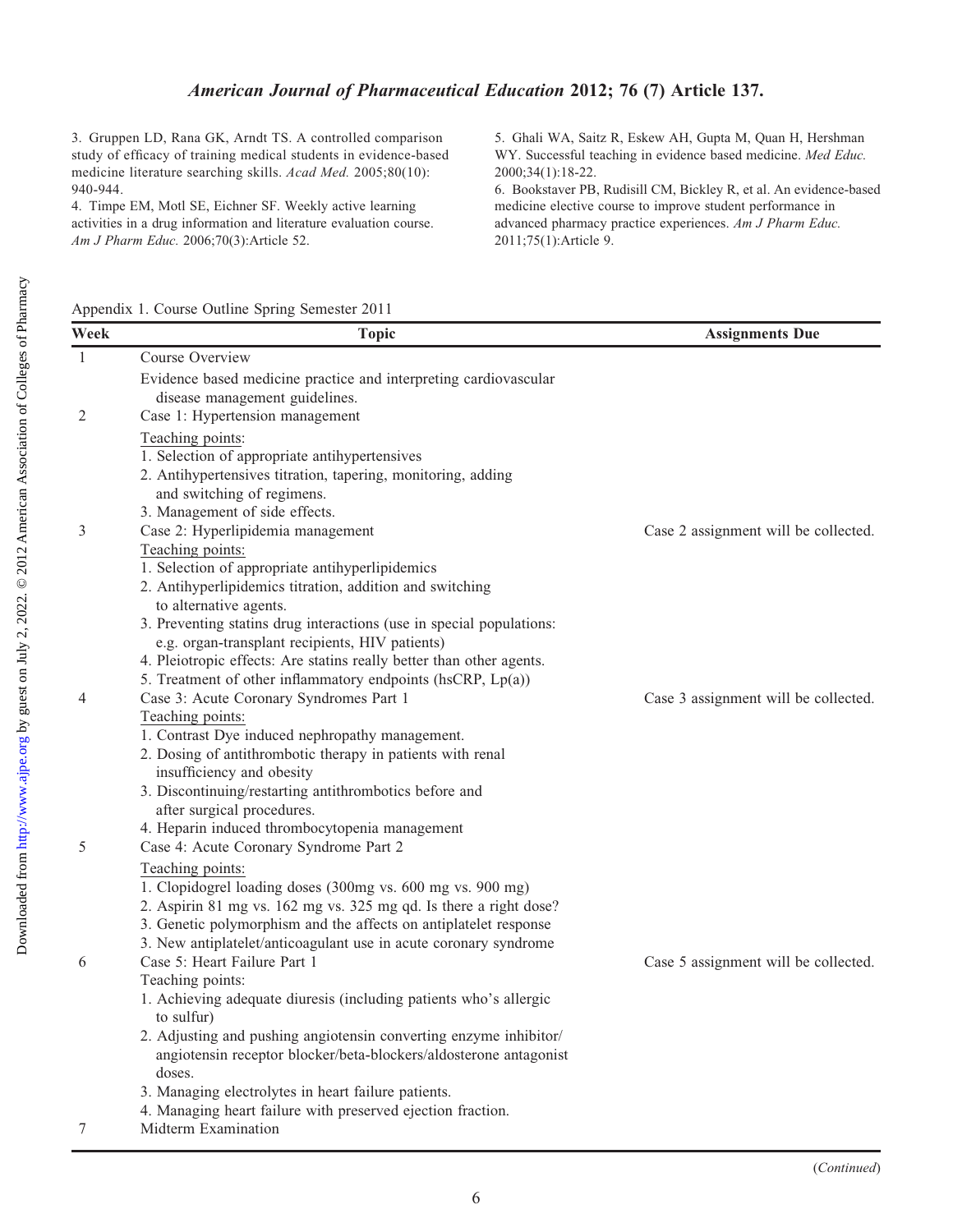3. Gruppen LD, Rana GK, Arndt TS. A controlled comparison study of efficacy of training medical students in evidence-based medicine literature searching skills. Acad Med. 2005;80(10): 940-944.

4. Timpe EM, Motl SE, Eichner SF. Weekly active learning activities in a drug information and literature evaluation course. Am J Pharm Educ. 2006;70(3):Article 52.

5. Ghali WA, Saitz R, Eskew AH, Gupta M, Quan H, Hershman WY. Successful teaching in evidence based medicine. Med Educ. 2000;34(1):18-22.

6. Bookstaver PB, Rudisill CM, Bickley R, et al. An evidence-based medicine elective course to improve student performance in advanced pharmacy practice experiences. Am J Pharm Educ. 2011;75(1):Article 9.

Appendix 1. Course Outline Spring Semester 2011

| Week | <b>Topic</b>                                                                                       | <b>Assignments Due</b>               |
|------|----------------------------------------------------------------------------------------------------|--------------------------------------|
| 1    | Course Overview                                                                                    |                                      |
|      | Evidence based medicine practice and interpreting cardiovascular<br>disease management guidelines. |                                      |
| 2    | Case 1: Hypertension management                                                                    |                                      |
|      | Teaching points:                                                                                   |                                      |
|      | 1. Selection of appropriate antihypertensives                                                      |                                      |
|      | 2. Antihypertensives titration, tapering, monitoring, adding                                       |                                      |
|      | and switching of regimens.                                                                         |                                      |
|      | 3. Management of side effects.                                                                     |                                      |
| 3    | Case 2: Hyperlipidemia management                                                                  | Case 2 assignment will be collected. |
|      | Teaching points:                                                                                   |                                      |
|      | 1. Selection of appropriate antihyperlipidemics                                                    |                                      |
|      | 2. Antihyperlipidemics titration, addition and switching                                           |                                      |
|      | to alternative agents.                                                                             |                                      |
|      | 3. Preventing statins drug interactions (use in special populations:                               |                                      |
|      | e.g. organ-transplant recipients, HIV patients)                                                    |                                      |
|      | 4. Pleiotropic effects: Are statins really better than other agents.                               |                                      |
|      | 5. Treatment of other inflammatory endpoints (hsCRP, Lp(a))                                        |                                      |
| 4    | Case 3: Acute Coronary Syndromes Part 1                                                            | Case 3 assignment will be collected. |
|      | Teaching points:<br>1. Contrast Dye induced nephropathy management.                                |                                      |
|      | 2. Dosing of antithrombotic therapy in patients with renal                                         |                                      |
|      | insufficiency and obesity                                                                          |                                      |
|      | 3. Discontinuing/restarting antithrombotics before and                                             |                                      |
|      | after surgical procedures.                                                                         |                                      |
|      | 4. Heparin induced thrombocytopenia management                                                     |                                      |
| 5    | Case 4: Acute Coronary Syndrome Part 2                                                             |                                      |
|      | Teaching points:                                                                                   |                                      |
|      | 1. Clopidogrel loading doses (300mg vs. 600 mg vs. 900 mg)                                         |                                      |
|      | 2. Aspirin 81 mg vs. 162 mg vs. 325 mg qd. Is there a right dose?                                  |                                      |
|      | 3. Genetic polymorphism and the affects on antiplatelet response                                   |                                      |
|      | 3. New antiplatelet/anticoagulant use in acute coronary syndrome                                   |                                      |
| 6    | Case 5: Heart Failure Part 1                                                                       | Case 5 assignment will be collected. |
|      | Teaching points:                                                                                   |                                      |
|      | 1. Achieving adequate diuresis (including patients who's allergic                                  |                                      |
|      | to sulfur)                                                                                         |                                      |
|      | 2. Adjusting and pushing angiotensin converting enzyme inhibitor/                                  |                                      |
|      | angiotensin receptor blocker/beta-blockers/aldosterone antagonist                                  |                                      |
|      | doses.                                                                                             |                                      |
|      | 3. Managing electrolytes in heart failure patients.                                                |                                      |
|      | 4. Managing heart failure with preserved ejection fraction.                                        |                                      |
| 7    | Midterm Examination                                                                                |                                      |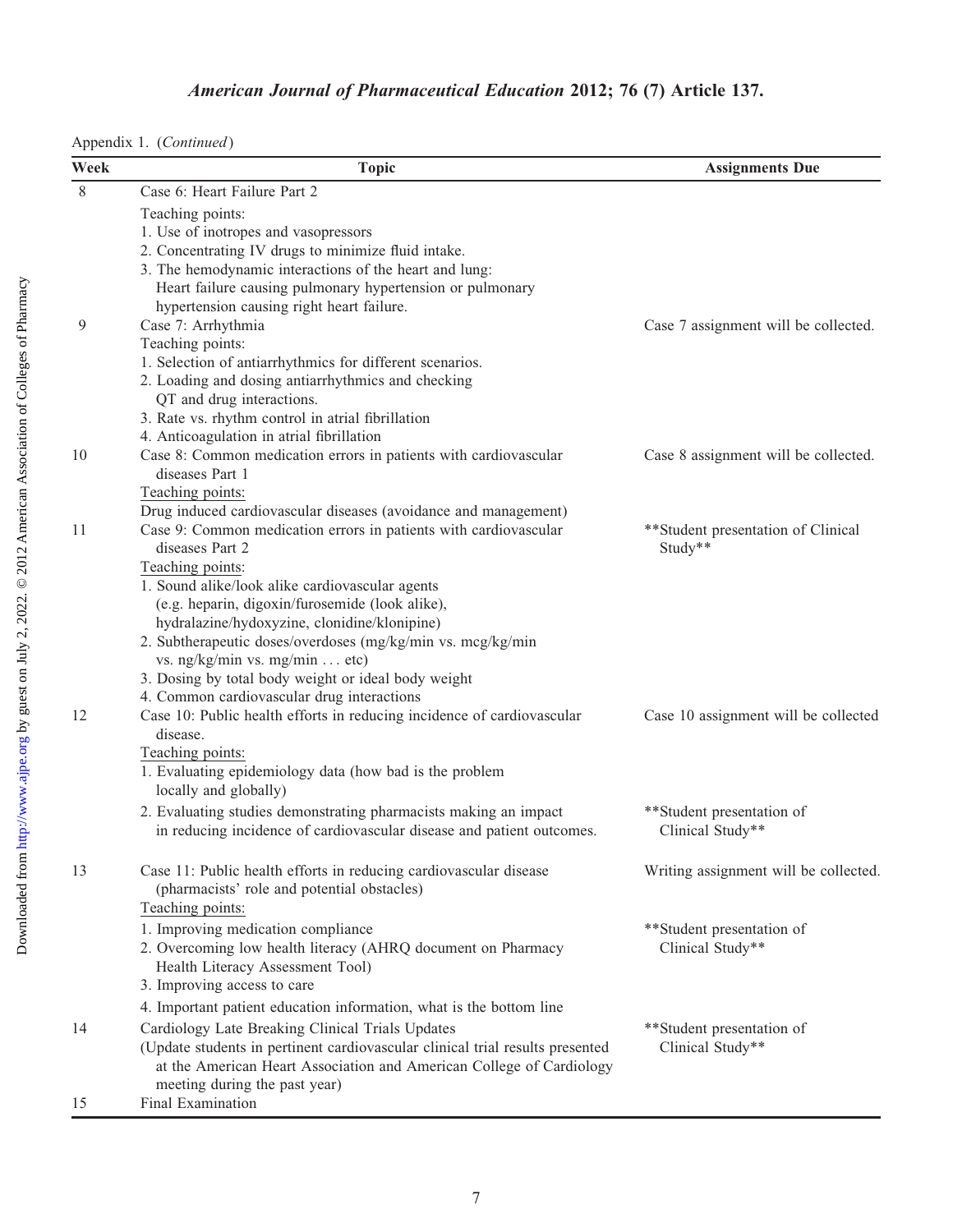|  | Appendix 1. (Continued) |  |
|--|-------------------------|--|
|  |                         |  |

| Week | <b>Topic</b>                                                                                                                                          | <b>Assignments Due</b>                        |
|------|-------------------------------------------------------------------------------------------------------------------------------------------------------|-----------------------------------------------|
| 8    | Case 6: Heart Failure Part 2                                                                                                                          |                                               |
|      | Teaching points:                                                                                                                                      |                                               |
|      | 1. Use of inotropes and vasopressors                                                                                                                  |                                               |
|      | 2. Concentrating IV drugs to minimize fluid intake.                                                                                                   |                                               |
|      | 3. The hemodynamic interactions of the heart and lung:                                                                                                |                                               |
|      | Heart failure causing pulmonary hypertension or pulmonary                                                                                             |                                               |
|      | hypertension causing right heart failure.                                                                                                             |                                               |
| 9    | Case 7: Arrhythmia                                                                                                                                    | Case 7 assignment will be collected.          |
|      | Teaching points:                                                                                                                                      |                                               |
|      | 1. Selection of antiarrhythmics for different scenarios.                                                                                              |                                               |
|      | 2. Loading and dosing antiarrhythmics and checking                                                                                                    |                                               |
|      | QT and drug interactions.                                                                                                                             |                                               |
|      | 3. Rate vs. rhythm control in atrial fibrillation                                                                                                     |                                               |
|      | 4. Anticoagulation in atrial fibrillation                                                                                                             |                                               |
| 10   | Case 8: Common medication errors in patients with cardiovascular<br>diseases Part 1                                                                   | Case 8 assignment will be collected.          |
|      | Teaching points:                                                                                                                                      |                                               |
|      | Drug induced cardiovascular diseases (avoidance and management)                                                                                       |                                               |
| 11   | Case 9: Common medication errors in patients with cardiovascular<br>diseases Part 2                                                                   | **Student presentation of Clinical<br>Study** |
|      | Teaching points:                                                                                                                                      |                                               |
|      | 1. Sound alike/look alike cardiovascular agents                                                                                                       |                                               |
|      | (e.g. heparin, digoxin/furosemide (look alike),                                                                                                       |                                               |
|      | hydralazine/hydoxyzine, clonidine/klonipine)                                                                                                          |                                               |
|      | 2. Subtherapeutic doses/overdoses (mg/kg/min vs. mcg/kg/min                                                                                           |                                               |
|      | vs. ng/kg/min vs. mg/min etc)                                                                                                                         |                                               |
|      | 3. Dosing by total body weight or ideal body weight                                                                                                   |                                               |
|      | 4. Common cardiovascular drug interactions                                                                                                            |                                               |
| 12   | Case 10: Public health efforts in reducing incidence of cardiovascular<br>disease.                                                                    | Case 10 assignment will be collected          |
|      | Teaching points:                                                                                                                                      |                                               |
|      | 1. Evaluating epidemiology data (how bad is the problem                                                                                               |                                               |
|      | locally and globally)                                                                                                                                 |                                               |
|      | 2. Evaluating studies demonstrating pharmacists making an impact<br>in reducing incidence of cardiovascular disease and patient outcomes.             | **Student presentation of<br>Clinical Study** |
| 13   | Case 11: Public health efforts in reducing cardiovascular disease                                                                                     | Writing assignment will be collected.         |
|      | (pharmacists' role and potential obstacles)<br>Teaching points:                                                                                       |                                               |
|      | 1. Improving medication compliance                                                                                                                    | **Student presentation of                     |
|      | 2. Overcoming low health literacy (AHRQ document on Pharmacy                                                                                          | Clinical Study**                              |
|      | Health Literacy Assessment Tool)                                                                                                                      |                                               |
|      | 3. Improving access to care                                                                                                                           |                                               |
|      | 4. Important patient education information, what is the bottom line                                                                                   |                                               |
| 14   | Cardiology Late Breaking Clinical Trials Updates                                                                                                      | **Student presentation of                     |
|      | (Update students in pertinent cardiovascular clinical trial results presented<br>at the American Heart Association and American College of Cardiology | Clinical Study**                              |
|      | meeting during the past year)                                                                                                                         |                                               |
| 15   | Final Examination                                                                                                                                     |                                               |